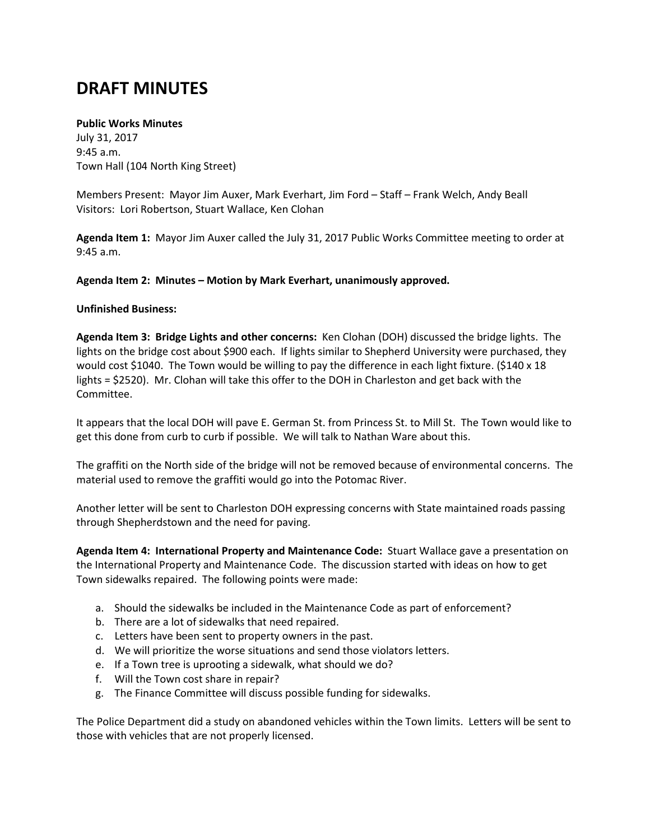## **DRAFT MINUTES**

## **Public Works Minutes**

July 31, 2017 9:45 a.m. Town Hall (104 North King Street)

Members Present: Mayor Jim Auxer, Mark Everhart, Jim Ford – Staff – Frank Welch, Andy Beall Visitors: Lori Robertson, Stuart Wallace, Ken Clohan

**Agenda Item 1:** Mayor Jim Auxer called the July 31, 2017 Public Works Committee meeting to order at 9:45 a.m.

## **Agenda Item 2: Minutes – Motion by Mark Everhart, unanimously approved.**

## **Unfinished Business:**

**Agenda Item 3: Bridge Lights and other concerns:** Ken Clohan (DOH) discussed the bridge lights. The lights on the bridge cost about \$900 each. If lights similar to Shepherd University were purchased, they would cost \$1040. The Town would be willing to pay the difference in each light fixture. (\$140 x 18 lights = \$2520). Mr. Clohan will take this offer to the DOH in Charleston and get back with the Committee.

It appears that the local DOH will pave E. German St. from Princess St. to Mill St. The Town would like to get this done from curb to curb if possible. We will talk to Nathan Ware about this.

The graffiti on the North side of the bridge will not be removed because of environmental concerns. The material used to remove the graffiti would go into the Potomac River.

Another letter will be sent to Charleston DOH expressing concerns with State maintained roads passing through Shepherdstown and the need for paving.

**Agenda Item 4: International Property and Maintenance Code:** Stuart Wallace gave a presentation on the International Property and Maintenance Code. The discussion started with ideas on how to get Town sidewalks repaired. The following points were made:

- a. Should the sidewalks be included in the Maintenance Code as part of enforcement?
- b. There are a lot of sidewalks that need repaired.
- c. Letters have been sent to property owners in the past.
- d. We will prioritize the worse situations and send those violators letters.
- e. If a Town tree is uprooting a sidewalk, what should we do?
- f. Will the Town cost share in repair?
- g. The Finance Committee will discuss possible funding for sidewalks.

The Police Department did a study on abandoned vehicles within the Town limits. Letters will be sent to those with vehicles that are not properly licensed.